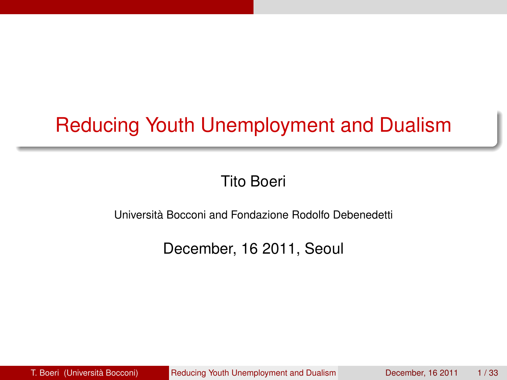# Reducing Youth Unemployment and Dualism

<span id="page-0-0"></span>Tito Boeri

Università Bocconi and Fondazione Rodolfo Debenedetti

December, 16 2011, Seoul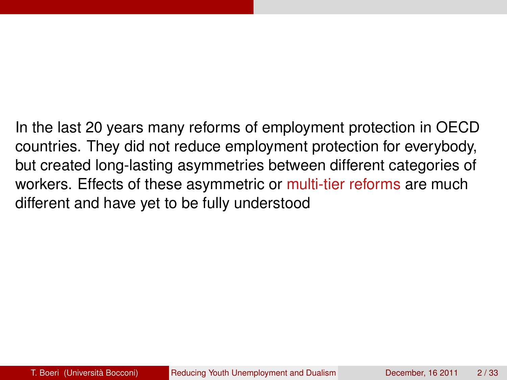In the last 20 years many reforms of employment protection in OECD countries. They did not reduce employment protection for everybody, but created long-lasting asymmetries between different categories of workers. Effects of these asymmetric or multi-tier reforms are much different and have yet to be fully understood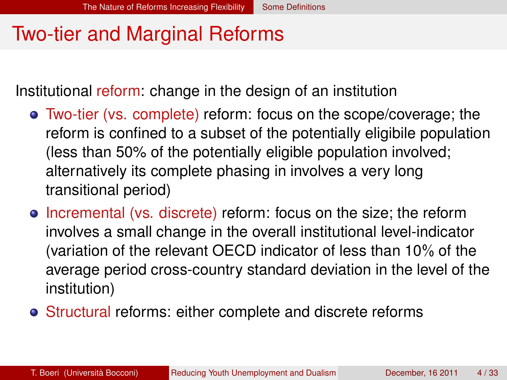#### Two-tier and Marginal Reforms

Institutional reform: change in the design of an institution

- Two-tier (vs. complete) reform: focus on the scope/coverage; the reform is confined to a subset of the potentially eligibile population (less than 50% of the potentially eligible population involved; alternatively its complete phasing in involves a very long transitional period)
- **•** Incremental (vs. discrete) reform: focus on the size; the reform involves a small change in the overall institutional level-indicator (variation of the relevant OECD indicator of less than 10% of the average period cross-country standard deviation in the level of the institution)
- <span id="page-2-0"></span>Structural reforms: either complete and discrete reforms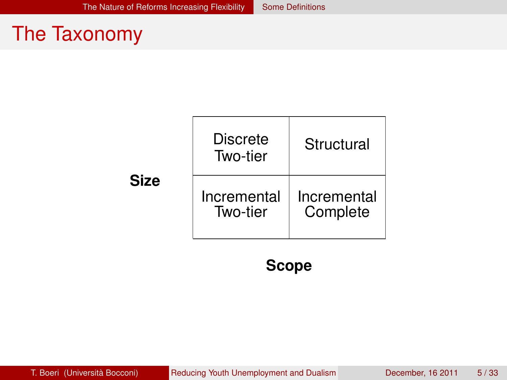#### The Taxonomy

|             | Discrete<br>Two-tier    | Structural              |  |
|-------------|-------------------------|-------------------------|--|
| <b>Size</b> | Incremental<br>Two-tier | Incremental<br>Complete |  |

#### <span id="page-3-0"></span>**Scope**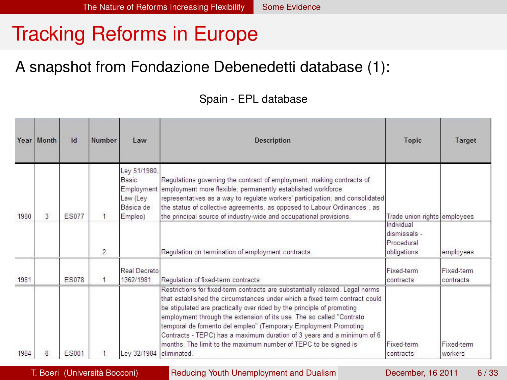### Tracking Reforms in Europe

#### A snapshot from Fondazione Debenedetti database (1):

#### <span id="page-4-0"></span>Spain - EPL database

|      | Year Month | id           | Number         | Law                                                                     | <b>Description</b>                                                                                                                                                                                                                                                                                                                                                                                                                                                                                                                          | Topic                                                   | Target                  |
|------|------------|--------------|----------------|-------------------------------------------------------------------------|---------------------------------------------------------------------------------------------------------------------------------------------------------------------------------------------------------------------------------------------------------------------------------------------------------------------------------------------------------------------------------------------------------------------------------------------------------------------------------------------------------------------------------------------|---------------------------------------------------------|-------------------------|
| 1980 | 3          | <b>FS077</b> | 1              | Ley 51/1980.<br>Basic<br>Employment<br>Law (Ley<br>Básica de<br>Empleo) | Regulations governing the contract of employment, making contracts of<br>employment more flexible; permanently established workforce<br>representatives as a way to regulate workers' participation; and consolidated<br>the status of collective agreements, as opposed to Labour Ordinances, as<br>the principal source of industry-wide and occupational provisions.                                                                                                                                                                     | Trade union rights employees                            |                         |
|      |            |              | $\mathfrak{p}$ |                                                                         | Requlation on termination of employment contracts.                                                                                                                                                                                                                                                                                                                                                                                                                                                                                          | Individual<br>dismissals -<br>Procedural<br>obligations | employees               |
| 1981 |            | <b>ES078</b> |                | Real Decreto<br>1362/1981                                               | Regulation of fixed-term contracts                                                                                                                                                                                                                                                                                                                                                                                                                                                                                                          | Fixed-term<br>contracts                                 | Fixed-term<br>contracts |
| 1984 | я          | <b>ES001</b> |                | Lev 32/1984                                                             | Restrictions for fixed-term contracts are substantially relaxed. Legal norms<br>that established the circumstances under which a fixed term contract could<br>be stipulated are practically over rided by the principle of promoting<br>employment through the extension of its use. The so called "Contrato<br>temporal de fomento del empleo" (Temporary Employment Promoting<br>Contracts - TEPC) has a maximum duration of 3 years and a minimum of 6<br>months. The limit to the maximum number of TEPC to be signed is<br>eliminated. | Fixed-term<br>contracts                                 | Fixed-term<br>workers   |

T. Boeri (Università Bocconi) [Reducing Youth Unemployment and Dualism](#page-0-0) December, 16 2011 6 / 33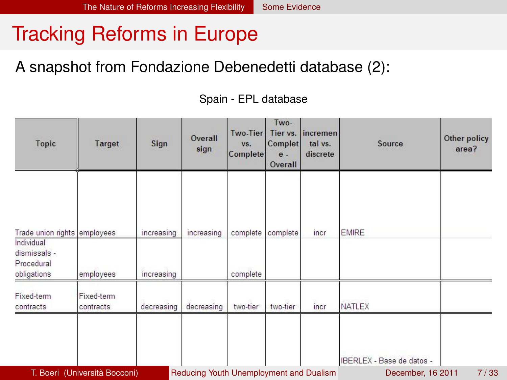### Tracking Reforms in Europe

#### A snapshot from Fondazione Debenedetti database (2):

#### Two-Two-Tier Tier vs. incremen Overall Other policy Topic Target Sign VS. Complet tal vs. Source sian area? Complete  $\theta$ . discrete Overall Trade union rights employees increasing increasing complete complete incr **FMIRF** Individual diemissals -Procedural increasing obligations employees complete Fixed-term Fixed-term contracts contracts decreasing decreasing two-tier two-tier incr **NATLEX** IBERLEX - Base de datos -

#### <span id="page-5-0"></span>Spain - EPL database

T. Boeri (Università Bocconi) [Reducing Youth Unemployment and Dualism](#page-0-0) December, 16 2011 7/33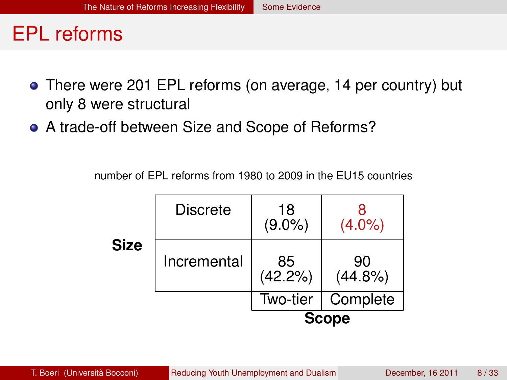#### EPL reforms

- There were 201 EPL reforms (on average, 14 per country) but only 8 were structural
- A trade-off between Size and Scope of Reforms?

number of EPL reforms from 1980 to 2009 in the EU15 countries

<span id="page-6-0"></span>

|      |                 | <b>Scope</b>    |                  |  |
|------|-----------------|-----------------|------------------|--|
|      |                 | Two-tier        | Complete         |  |
| Size | Incremental     | 85<br>(42.2%)   | 90<br>$(44.8\%)$ |  |
|      | <b>Discrete</b> | 18<br>$(9.0\%)$ | $(4.0\%)$        |  |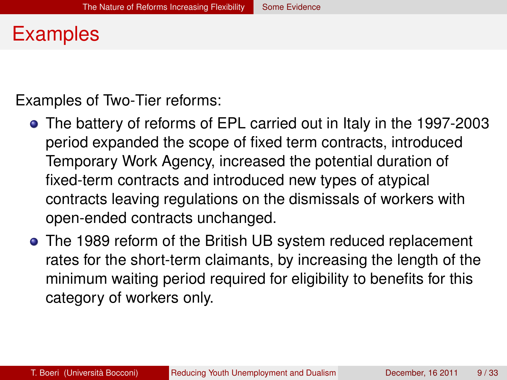#### Examples

Examples of Two-Tier reforms:

- The battery of reforms of EPL carried out in Italy in the 1997-2003 period expanded the scope of fixed term contracts, introduced Temporary Work Agency, increased the potential duration of fixed-term contracts and introduced new types of atypical contracts leaving regulations on the dismissals of workers with open-ended contracts unchanged.
- <span id="page-7-0"></span>The 1989 reform of the British UB system reduced replacement rates for the short-term claimants, by increasing the length of the minimum waiting period required for eligibility to benefits for this category of workers only.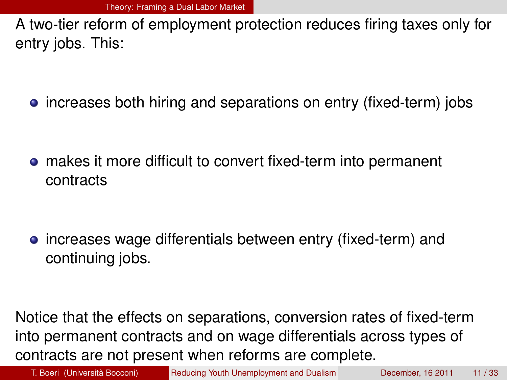A two-tier reform of employment protection reduces firing taxes only for entry jobs. This:

• increases both hiring and separations on entry (fixed-term) jobs

makes it more difficult to convert fixed-term into permanent contracts

• increases wage differentials between entry (fixed-term) and continuing jobs.

Notice that the effects on separations, conversion rates of fixed-term into permanent contracts and on wage differentials across types of contracts are not present when reforms are complete.

<span id="page-8-0"></span>

T. Boeri (Università Bocconi) [Reducing Youth Unemployment and Dualism](#page-0-0) December, 16 2011 11/33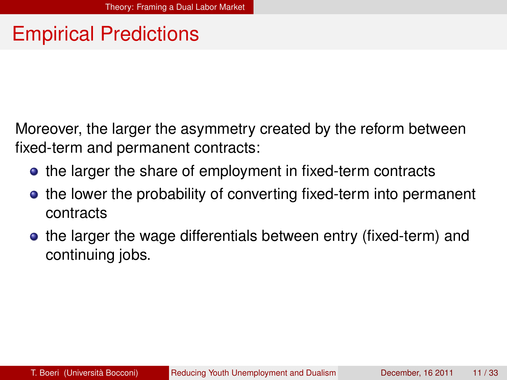### Empirical Predictions

Moreover, the larger the asymmetry created by the reform between fixed-term and permanent contracts:

- the larger the share of employment in fixed-term contracts
- the lower the probability of converting fixed-term into permanent contracts
- <span id="page-9-0"></span>**•** the larger the wage differentials between entry (fixed-term) and continuing jobs.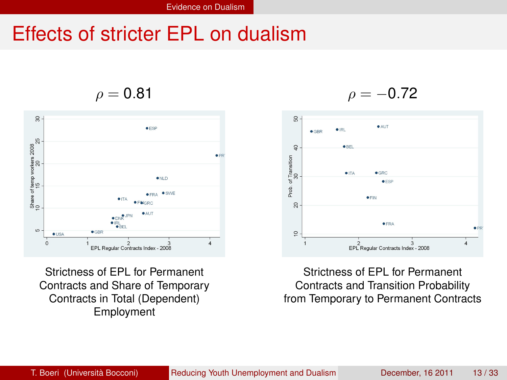#### Effects of stricter EPL on dualism

 $\rho = 0.81$ 



Strictness of EPL for Permanent Contracts and Share of Temporary Contracts in Total (Dependent) Employment

 $\rho = -0.72$ 



<span id="page-10-0"></span>Strictness of EPL for Permanent Contracts and Transition Probability from Temporary to Permanent Contracts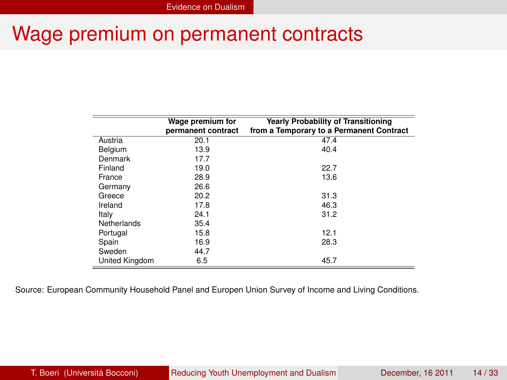#### Wage premium on permanent contracts

<span id="page-11-0"></span>

|                | Wage premium for   | <b>Yearly Probability of Transitioning</b> |
|----------------|--------------------|--------------------------------------------|
|                | permanent contract | from a Temporary to a Permanent Contract   |
| Austria        | 20.1               | 47.4                                       |
| Belgium        | 13.9               | 40.4                                       |
| Denmark        | 17.7               |                                            |
| Finland        | 19.0               | 22.7                                       |
| France         | 28.9               | 13.6                                       |
| Germany        | 26.6               |                                            |
| Greece         | 20.2               | 31.3                                       |
| Ireland        | 17.8               | 46.3                                       |
| Italy          | 24.1               | 31.2                                       |
| Netherlands    | 35.4               |                                            |
| Portugal       | 15.8               | 12.1                                       |
| Spain          | 16.9               | 28.3                                       |
| Sweden         | 44.7               |                                            |
| United Kingdom | 6.5                | 45.7                                       |

Source: European Community Household Panel and Europen Union Survey of Income and Living Conditions.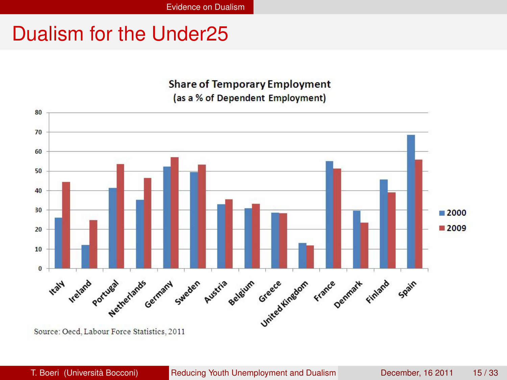#### Dualism for the Under25

#### <span id="page-12-0"></span>**Share of Temporary Employment** (as a % of Dependent Employment)



Source: Oecd, Labour Force Statistics, 2011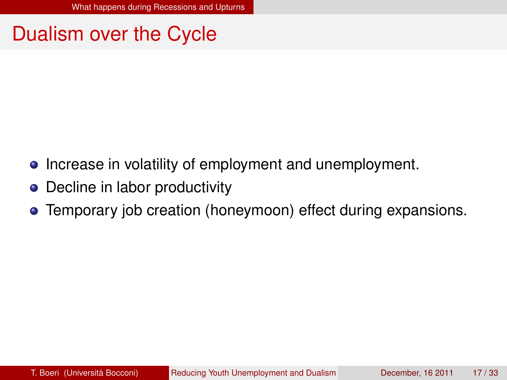#### Dualism over the Cycle

- Increase in volatility of employment and unemployment.
- Decline in labor productivity
- <span id="page-13-0"></span>Temporary job creation (honeymoon) effect during expansions.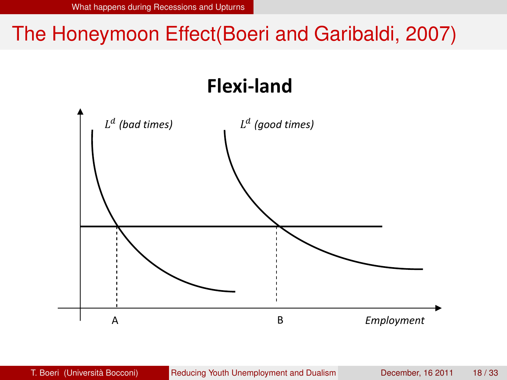# The Honeymoon Effect(Boeri and Garibaldi, 2007)

# <span id="page-14-0"></span>**Flexi‐land**

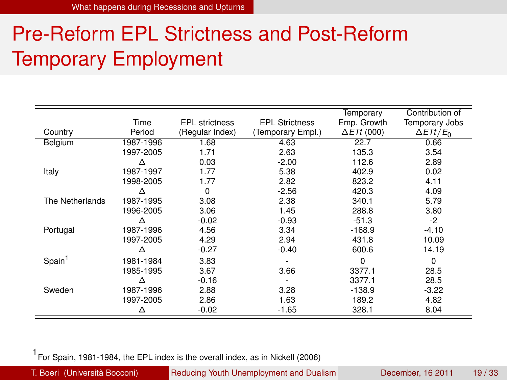# Pre-Reform EPL Strictness and Post-Reform Temporary Employment

| Country            | Time<br>Period | <b>EPL</b> strictness<br>(Regular Index) | <b>EPL Strictness</b><br>(Temporary Empl.) | Temporary<br>Emp. Growth<br>$\Delta E Tt$ (000) | Contribution of<br><b>Temporary Jobs</b><br>$\Delta E T t / E_0$ |
|--------------------|----------------|------------------------------------------|--------------------------------------------|-------------------------------------------------|------------------------------------------------------------------|
| Belgium            | 1987-1996      | 1.68                                     | 4.63                                       | 22.7                                            | 0.66                                                             |
|                    | 1997-2005      | 1.71                                     | 2.63                                       | 135.3                                           | 3.54                                                             |
|                    | Δ              | 0.03                                     | $-2.00$                                    | 112.6                                           | 2.89                                                             |
| Italy              | 1987-1997      | 1.77                                     | 5.38                                       | 402.9                                           | 0.02                                                             |
|                    | 1998-2005      | 1.77                                     | 2.82                                       | 823.2                                           | 4.11                                                             |
|                    | Δ              | $\Omega$                                 | $-2.56$                                    | 420.3                                           | 4.09                                                             |
| The Netherlands    | 1987-1995      | 3.08                                     | 2.38                                       | 340.1                                           | 5.79                                                             |
|                    | 1996-2005      | 3.06                                     | 1.45                                       | 288.8                                           | 3.80                                                             |
|                    | Δ              | $-0.02$                                  | $-0.93$                                    | $-51.3$                                         | $-2$                                                             |
| Portugal           | 1987-1996      | 4.56                                     | 3.34                                       | $-168.9$                                        | $-4.10$                                                          |
|                    | 1997-2005      | 4.29                                     | 2.94                                       | 431.8                                           | 10.09                                                            |
|                    | Δ              | $-0.27$                                  | $-0.40$                                    | 600.6                                           | 14.19                                                            |
| Spain <sup>1</sup> | 1981-1984      | 3.83                                     |                                            | $\Omega$                                        | $\Omega$                                                         |
|                    | 1985-1995      | 3.67                                     | 3.66                                       | 3377.1                                          | 28.5                                                             |
|                    | Δ              | $-0.16$                                  |                                            | 3377.1                                          | 28.5                                                             |
| Sweden             | 1987-1996      | 2.88                                     | 3.28                                       | $-138.9$                                        | $-3.22$                                                          |
|                    | 1997-2005      | 2.86                                     | 1.63                                       | 189.2                                           | 4.82                                                             |
|                    | Δ              | -0.02                                    | $-1.65$                                    | 328.1                                           | 8.04                                                             |

<span id="page-15-0"></span>1 For Spain, 1981-1984, the EPL index is the overall index, as in Nickell (2006)

T. Boeri (Università Bocconi) [Reducing Youth Unemployment and Dualism](#page-0-0) December, 16 2011 19 / 33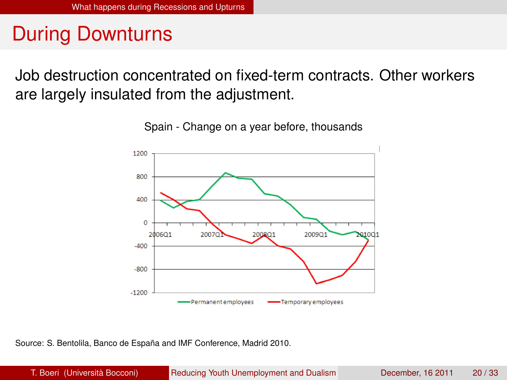### During Downturns

Job destruction concentrated on fixed-term contracts. Other workers are largely insulated from the adjustment.



<span id="page-16-0"></span>Spain - Change on a year before, thousands

Source: S. Bentolila, Banco de España and IMF Conference, Madrid 2010.

T. Boeri (Università Bocconi) [Reducing Youth Unemployment and Dualism](#page-0-0) December, 16 2011 20/33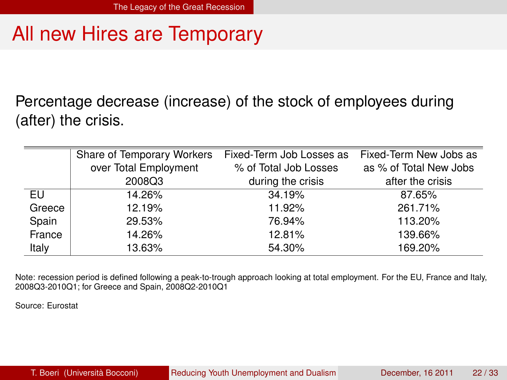### All new Hires are Temporary

Percentage decrease (increase) of the stock of employees during (after) the crisis.

|        | Share of Temporary Workers | Fixed-Term Job Losses as | Fixed-Term New Jobs as |
|--------|----------------------------|--------------------------|------------------------|
|        | over Total Employment      | % of Total Job Losses    | as % of Total New Jobs |
|        | 2008Q3                     | during the crisis        | after the crisis       |
| EU     | 14.26%                     | 34.19%                   | 87.65%                 |
| Greece | 12.19%                     | 11.92%                   | 261.71%                |
| Spain  | 29.53%                     | 76.94%                   | 113.20%                |
| France | 14.26%                     | 12.81%                   | 139.66%                |
| Italy  | 13.63%                     | 54.30%                   | 169.20%                |

Note: recession period is defined following a peak-to-trough approach looking at total employment. For the EU, France and Italy, 2008Q3-2010Q1; for Greece and Spain, 2008Q2-2010Q1

<span id="page-17-0"></span>Source: Eurostat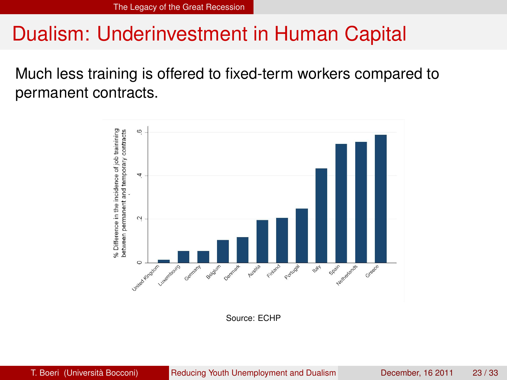#### Dualism: Underinvestment in Human Capital

Much less training is offered to fixed-term workers compared to permanent contracts.



<span id="page-18-0"></span>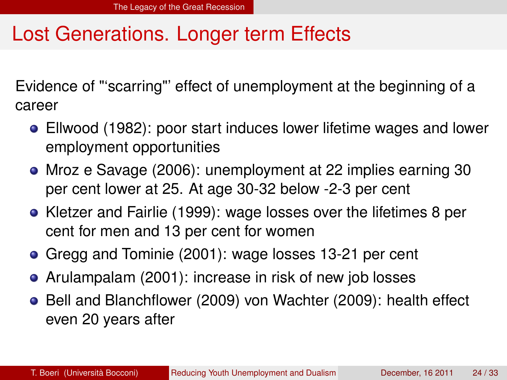#### Lost Generations. Longer term Effects

Evidence of "'scarring"' effect of unemployment at the beginning of a career

- Ellwood (1982): poor start induces lower lifetime wages and lower employment opportunities
- Mroz e Savage (2006): unemployment at 22 implies earning 30 per cent lower at 25. At age 30-32 below -2-3 per cent
- Kletzer and Fairlie (1999): wage losses over the lifetimes 8 per cent for men and 13 per cent for women
- Gregg and Tominie (2001): wage losses 13-21 per cent
- Arulampalam (2001): increase in risk of new job losses
- <span id="page-19-0"></span>**•** Bell and Blanchflower (2009) von Wachter (2009): health effect even 20 years after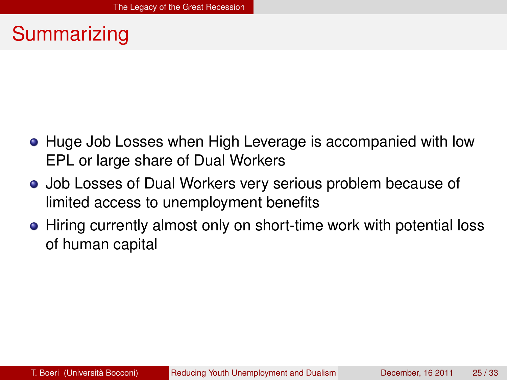### Summarizing

- Huge Job Losses when High Leverage is accompanied with low EPL or large share of Dual Workers
- Job Losses of Dual Workers very serious problem because of limited access to unemployment benefits
- <span id="page-20-0"></span>• Hiring currently almost only on short-time work with potential loss of human capital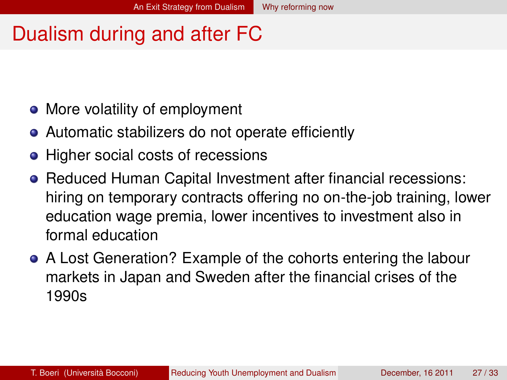#### Dualism during and after FC

- More volatility of employment
- Automatic stabilizers do not operate efficiently
- Higher social costs of recessions
- **Reduced Human Capital Investment after financial recessions:** hiring on temporary contracts offering no on-the-job training, lower education wage premia, lower incentives to investment also in formal education
- <span id="page-21-0"></span>A Lost Generation? Example of the cohorts entering the labour markets in Japan and Sweden after the financial crises of the 1990s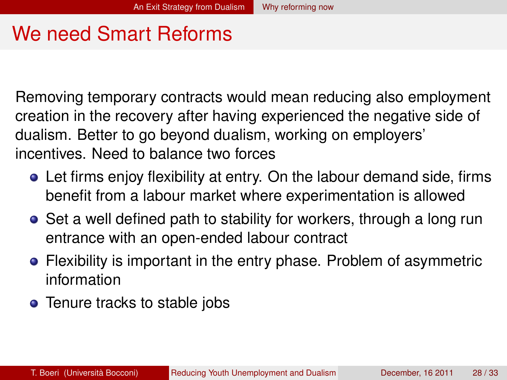### We need Smart Reforms

Removing temporary contracts would mean reducing also employment creation in the recovery after having experienced the negative side of dualism. Better to go beyond dualism, working on employers' incentives. Need to balance two forces

- Let firms enjoy flexibility at entry. On the labour demand side, firms benefit from a labour market where experimentation is allowed
- Set a well defined path to stability for workers, through a long run entrance with an open-ended labour contract
- Flexibility is important in the entry phase. Problem of asymmetric information
- <span id="page-22-0"></span>• Tenure tracks to stable jobs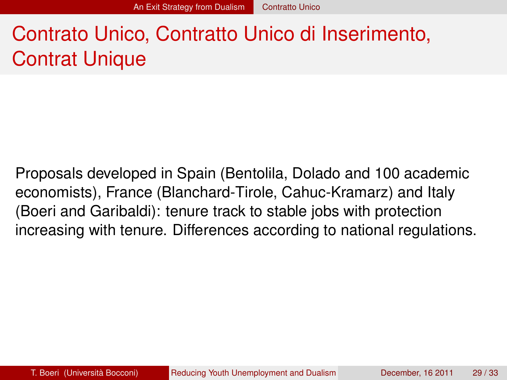# Contrato Unico, Contratto Unico di Inserimento, Contrat Unique

<span id="page-23-0"></span>Proposals developed in Spain (Bentolila, Dolado and 100 academic economists), France (Blanchard-Tirole, Cahuc-Kramarz) and Italy (Boeri and Garibaldi): tenure track to stable jobs with protection increasing with tenure. Differences according to national regulations.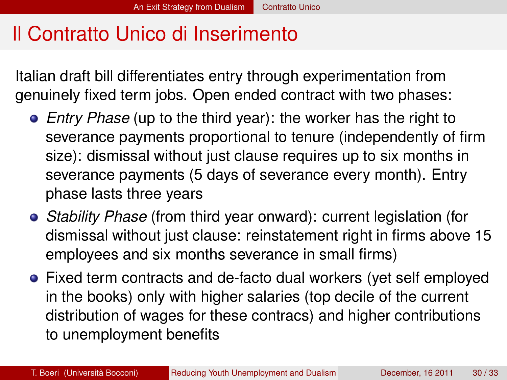#### Il Contratto Unico di Inserimento

Italian draft bill differentiates entry through experimentation from genuinely fixed term jobs. Open ended contract with two phases:

- *Entry Phase* (up to the third year): the worker has the right to severance payments proportional to tenure (independently of firm size): dismissal without just clause requires up to six months in severance payments (5 days of severance every month). Entry phase lasts three years
- *Stability Phase* (from third year onward): current legislation (for dismissal without just clause: reinstatement right in firms above 15 employees and six months severance in small firms)
- <span id="page-24-0"></span>Fixed term contracts and de-facto dual workers (yet self employed in the books) only with higher salaries (top decile of the current distribution of wages for these contracs) and higher contributions to unemployment benefits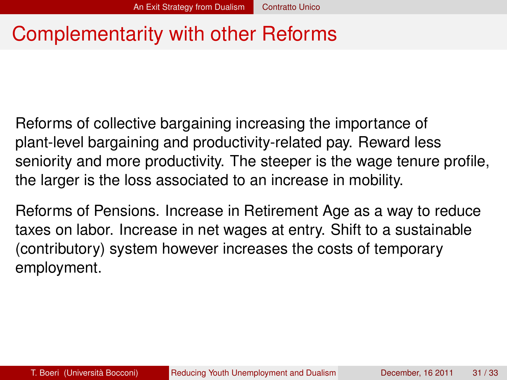### Complementarity with other Reforms

Reforms of collective bargaining increasing the importance of plant-level bargaining and productivity-related pay. Reward less seniority and more productivity. The steeper is the wage tenure profile, the larger is the loss associated to an increase in mobility.

<span id="page-25-0"></span>Reforms of Pensions. Increase in Retirement Age as a way to reduce taxes on labor. Increase in net wages at entry. Shift to a sustainable (contributory) system however increases the costs of temporary employment.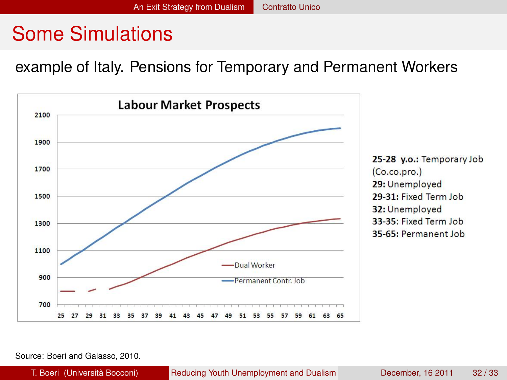#### Some Simulations

example of Italy. Pensions for Temporary and Permanent Workers



Source: Boeri and Galasso, 2010.

<span id="page-26-0"></span>